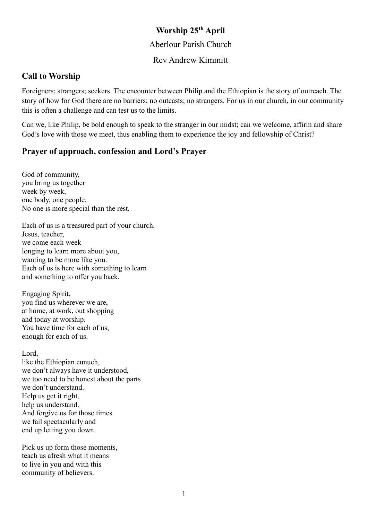## **Worship 25th April**  Aberlour Parish Church

# Rev Andrew Kimmitt

#### **Call to Worship**

Foreigners; strangers; seekers. The encounter between Philip and the Ethiopian is the story of outreach. The story of how for God there are no barriers; no outcasts; no strangers. For us in our church, in our community this is often a challenge and can test us to the limits.

Can we, like Philip, be bold enough to speak to the stranger in our midst; can we welcome, affirm and share God's love with those we meet, thus enabling them to experience the joy and fellowship of Christ?

### **Prayer of approach, confession and Lord's Prayer**

God of community, you bring us together week by week, one body, one people. No one is more special than the rest.

Each of us is a treasured part of your church. Jesus, teacher, we come each week longing to learn more about you, wanting to be more like you. Each of us is here with something to learn and something to offer you back.

Engaging Spirit, you find us wherever we are, at home, at work, out shopping and today at worship. You have time for each of us, enough for each of us.

#### Lord,

like the Ethiopian eunuch, we don't always have it understood, we too need to be honest about the parts we don't understand. Help us get it right, help us understand. And forgive us for those times we fail spectacularly and end up letting you down.

Pick us up form those moments, teach us afresh what it means to live in you and with this community of believers.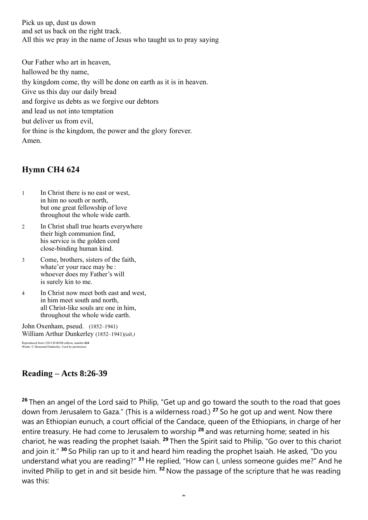Pick us up, dust us down and set us back on the right track. All this we pray in the name of Jesus who taught us to pray saying

Our Father who art in heaven, hallowed be thy name, thy kingdom come, thy will be done on earth as it is in heaven. Give us this day our daily bread and forgive us debts as we forgive our debtors and lead us not into temptation but deliver us from evil, for thine is the kingdom, the power and the glory forever. Amen.

### **Hymn CH4 624**

- 1 In Christ there is no east or west, in him no south or north, but one great fellowship of love throughout the whole wide earth.
- 2 In Christ shall true hearts everywhere their high communion find, his service is the golden cord close-binding human kind.
- 3 Come, brothers, sisters of the faith, whate'er your race may be : whoever does my Father's will is surely kin to me.
- 4 In Christ now meet both east and west, in him meet south and north, all Christ-like souls are one in him, throughout the whole wide earth.

John Oxenham, pseud. (1852–1941) William Arthur Dunkerley (1852–1941)*(alt.)*

Reproduced from *CH4* CD-ROM edition, number **624** Words: © Desmond Dunkerley. Used by permission.

### **Reading – Acts 8:26-39**

**<sup>26</sup>** Then an angel of the Lord said to Philip, "Get up and go toward the south to the road that goes down from Jerusalem to Gaza." (This is a wilderness road.) **<sup>27</sup>** So he got up and went. Now there was an Ethiopian eunuch, a court official of the Candace, queen of the Ethiopians, in charge of her entire treasury. He had come to Jerusalem to worship **<sup>28</sup>** and was returning home; seated in his chariot, he was reading the prophet Isaiah. **<sup>29</sup>** Then the Spirit said to Philip, "Go over to this chariot and join it." **<sup>30</sup>** So Philip ran up to it and heard him reading the prophet Isaiah. He asked, "Do you understand what you are reading?" **<sup>31</sup>** He replied, "How can I, unless someone guides me?" And he invited Philip to get in and sit beside him. **<sup>32</sup>** Now the passage of the scripture that he was reading was this: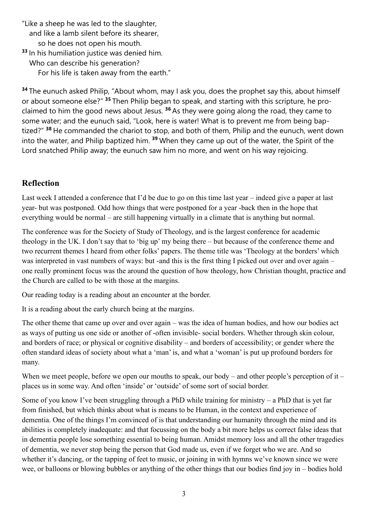"Like a sheep he was led to the slaughter, and like a lamb silent before its shearer, so he does not open his mouth. **<sup>33</sup>** In his humiliation justice was denied him. Who can describe his generation? For his life is taken away from the earth."

**<sup>34</sup>** The eunuch asked Philip, "About whom, may I ask you, does the prophet say this, about himself or about someone else?" **<sup>35</sup>** Then Philip began to speak, and starting with this scripture, he proclaimed to him the good news about Jesus. **<sup>36</sup>** As they were going along the road, they came to some water; and the eunuch said, "Look, here is water! What is to prevent me from being baptized?" **<sup>38</sup>** He commanded the chariot to stop, and both of them, Philip and the eunuch, went down into the water, and Philip baptized him. **<sup>39</sup>** When they came up out of the water, the Spirit of the Lord snatched Philip away; the eunuch saw him no more, and went on his way rejoicing.

#### **Reflection**

Last week I attended a conference that I'd be due to go on this time last year – indeed give a paper at last year- but was postponed. Odd how things that were postponed for a year -back then in the hope that everything would be normal – are still happening virtually in a climate that is anything but normal.

The conference was for the Society of Study of Theology, and is the largest conference for academic theology in the UK. I don't say that to 'big up' my being there – but because of the conference theme and two recurrent themes I heard from other folks' papers. The theme title was 'Theology at the borders' which was interpreted in vast numbers of ways: but -and this is the first thing I picked out over and over again – one really prominent focus was the around the question of how theology, how Christian thought, practice and the Church are called to be with those at the margins.

Our reading today is a reading about an encounter at the border.

It is a reading about the early church being at the margins.

The other theme that came up over and over again – was the idea of human bodies, and how our bodies act as ways of putting us one side or another of -often invisible- social borders. Whether through skin colour, and borders of race; or physical or cognitive disability – and borders of accessibility; or gender where the often standard ideas of society about what a 'man' is, and what a 'woman' is put up profound borders for many.

When we meet people, before we open our mouths to speak, our body – and other people's perception of it – places us in some way. And often 'inside' or 'outside' of some sort of social border.

Some of you know I've been struggling through a PhD while training for ministry – a PhD that is yet far from finished, but which thinks about what is means to be Human, in the context and experience of dementia. One of the things I'm convinced of is that understanding our humanity through the mind and its abilities is completely inadequate: and that focussing on the body a bit more helps us correct false ideas that in dementia people lose something essential to being human. Amidst memory loss and all the other tragedies of dementia, we never stop being the person that God made us, even if we forget who we are. And so whether it's dancing, or the tapping of feet to music, or joining in with hymns we've known since we were wee, or balloons or blowing bubbles or anything of the other things that our bodies find joy in – bodies hold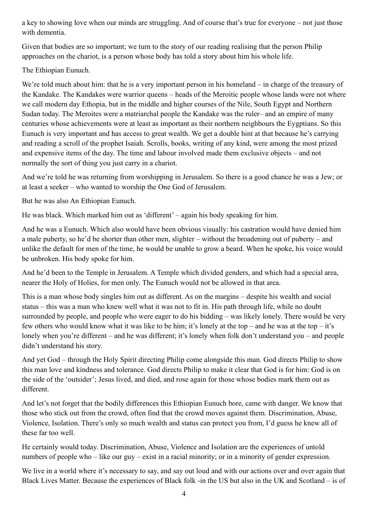a key to showing love when our minds are struggling. And of course that's true for everyone – not just those with dementia.

Given that bodies are so important; we turn to the story of our reading realising that the person Philip approaches on the chariot, is a person whose body has told a story about him his whole life.

#### The Ethiopian Eunuch.

We're told much about him: that he is a very important person in his homeland – in charge of the treasury of the Kandake. The Kandakes were warrior queens – heads of the Meroitic people whose lands were not where we call modern day Ethopia, but in the middle and higher courses of the Nile, South Egypt and Northern Sudan today. The Meroites were a matriarchal people the Kandake was the ruler– and an empire of many centuries whose achievements were at least as important as their northern neighbours the Eygptians. So this Eunuch is very important and has access to great wealth. We get a double hint at that because he's carrying and reading a scroll of the prophet Isaiah. Scrolls, books, writing of any kind, were among the most prized and expensive items of the day. The time and labour involved made them exclusive objects – and not normally the sort of thing you just carry in a chariot.

And we're told he was returning from worshipping in Jerusalem. So there is a good chance he was a Jew; or at least a seeker – who wanted to worship the One God of Jerusalem.

But he was also An Ethiopian Eunuch.

He was black. Which marked him out as 'different' – again his body speaking for him.

And he was a Eunuch. Which also would have been obvious visually: his castration would have denied him a male puberty, so he'd be shorter than other men, slighter – without the broadening out of puberty – and unlike the default for men of the time, he would be unable to grow a beard. When he spoke, his voice would be unbroken. His body spoke for him.

And he'd been to the Temple in Jerusalem. A Temple which divided genders, and which had a special area, nearer the Holy of Holies, for men only. The Eunuch would not be allowed in that area.

This is a man whose body singles him out as different. As on the margins – despite his wealth and social status – this was a man who knew well what it was not to fit in. His path through life, while no doubt surrounded by people, and people who were eager to do his bidding – was likely lonely. There would be very few others who would know what it was like to be him; it's lonely at the top – and he was at the top – it's lonely when you're different – and he was different; it's lonely when folk don't understand you – and people didn't understand his story.

And yet God – through the Holy Spirit directing Philip come alongside this man. God directs Philip to show this man love and kindness and tolerance. God directs Philip to make it clear that God is for him: God is on the side of the 'outsider'; Jesus lived, and died, and rose again for those whose bodies mark them out as different.

And let's not forget that the bodily differences this Ethiopian Eunuch bore, came with danger. We know that those who stick out from the crowd, often find that the crowd moves against them. Discrimination, Abuse, Violence, Isolation. There's only so much wealth and status can protect you from, I'd guess he knew all of these far too well.

He certainly would today. Discrimination, Abuse, Violence and Isolation are the experiences of untold numbers of people who – like our guy – exist in a racial minority; or in a minority of gender expression.

We live in a world where it's necessary to say, and say out loud and with our actions over and over again that Black Lives Matter. Because the experiences of Black folk -in the US but also in the UK and Scotland – is of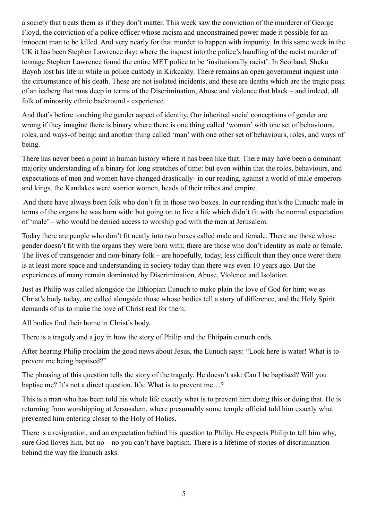a society that treats them as if they don't matter. This week saw the conviction of the murderer of George Floyd, the conviction of a police officer whose racism and unconstrained power made it possible for an innocent man to be killed. And very nearly for that murder to happen with impunity. In this same week in the UK it has been Stephen Lawrence day: where the inquest into the police's handling of the racist murder of tennage Stephen Lawrence found the entire MET police to be 'insitutionally racist'. In Scotland, Sheku Bayoh lost his life in while in police custody in Kirkcaldy. There remains an open government inquest into the circumstance of his death. These are not isolated incidents, and these are deaths which are the tragic peak of an iceberg that runs deep in terms of the Discrimination, Abuse and violence that black – and indeed, all folk of minosrity ethnic backround - experience.

And that's before touching the gender aspect of identity. Our inherited social conceptions of gender are wrong if they imagine there is binary where there is one thing called 'woman' with one set of behaviours, roles, and ways-of being; and another thing called 'man' with one other set of behaviours, roles, and ways of being.

There has never been a point in human history where it has been like that. There may have been a dominant majority understanding of a binary for long stretches of time: but even within that the roles, behaviours, and expectations of men and women have changed drastically- in our reading, against a world of male emperors and kings, the Kandakes were warrior women, heads of their tribes and empire.

And there have always been folk who don't fit in those two boxes. In our reading that's the Eunuch: male in terms of the organs he was born with: but going on to live a life which didn't fit with the normal expectation of 'male' – who would be denied access to worship god with the men at Jerusalem.

Today there are people who don't fit neatly into two boxes called male and female. There are those whose gender doesn't fit with the organs they were born with; there are those who don't identity as male or female. The lives of transgender and non-binary folk – are hopefully, today, less difficult than they once were: there is at least more space and understanding in society today than there was even 10 years ago. But the experiences of many remain dominated by Discrimination, Abuse, Violence and Isolation.

Just as Philip was called alongside the Ethiopian Eunuch to make plain the love of God for him; we as Christ's body today, are called alongside those whose bodies tell a story of difference, and the Holy Spirit demands of us to make the love of Christ real for them.

All bodies find their home in Christ's body.

There is a tragedy and a joy in how the story of Philip and the Ehtipain eunuch ends.

After hearing Philip proclaim the good news about Jesus, the Eunuch says: "Look here is water! What is to prevent me being baptised?"

The phrasing of this question tells the story of the tragedy. He doesn't ask: Can I be baptised? Will you baptise me? It's not a direct question. It's: What is to prevent me…?

This is a man who has been told his whole life exactly what is to prevent him doing this or doing that. He is returning from worshipping at Jersusalem, where presumably some temple official told him exactly what prevented him entering closer to the Holy of Holies.

There is a resignation, and an expectation behind his question to Philip. He expects Philip to tell him why, sure God lloves him, but no – no you can't have baptism. There is a lifetime of stories of discrimination behind the way the Eunuch asks.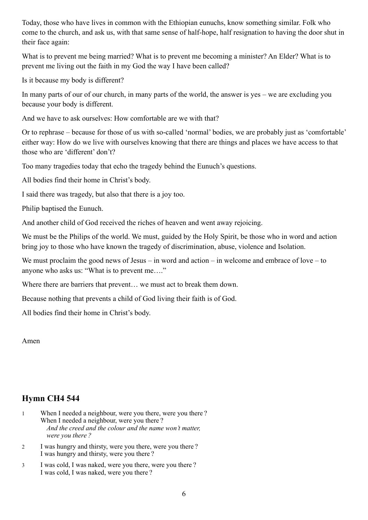Today, those who have lives in common with the Ethiopian eunuchs, know something similar. Folk who come to the church, and ask us, with that same sense of half-hope, half resignation to having the door shut in their face again:

What is to prevent me being married? What is to prevent me becoming a minister? An Elder? What is to prevent me living out the faith in my God the way I have been called?

Is it because my body is different?

In many parts of our of our church, in many parts of the world, the answer is yes – we are excluding you because your body is different.

And we have to ask ourselves: How comfortable are we with that?

Or to rephrase – because for those of us with so-called 'normal' bodies, we are probably just as 'comfortable' either way: How do we live with ourselves knowing that there are things and places we have access to that those who are 'different' don't?

Too many tragedies today that echo the tragedy behind the Eunuch's questions.

All bodies find their home in Christ's body.

I said there was tragedy, but also that there is a joy too.

Philip baptised the Eunuch.

And another child of God received the riches of heaven and went away rejoicing.

We must be the Philips of the world. We must, guided by the Holy Spirit, be those who in word and action bring joy to those who have known the tragedy of discrimination, abuse, violence and Isolation.

We must proclaim the good news of Jesus – in word and action – in welcome and embrace of love – to anyone who asks us: "What is to prevent me…."

Where there are barriers that prevent… we must act to break them down.

Because nothing that prevents a child of God living their faith is of God.

All bodies find their home in Christ's body.

Amen

### **Hymn CH4 544**

- 1 When I needed a neighbour, were you there, were you there ? When I needed a neighbour, were you there? *And the creed and the colour and the name won't matter, were you there ?*
- 2 I was hungry and thirsty, were you there, were you there ? I was hungry and thirsty, were you there ?
- 3 I was cold, I was naked, were you there, were you there ? I was cold, I was naked, were you there ?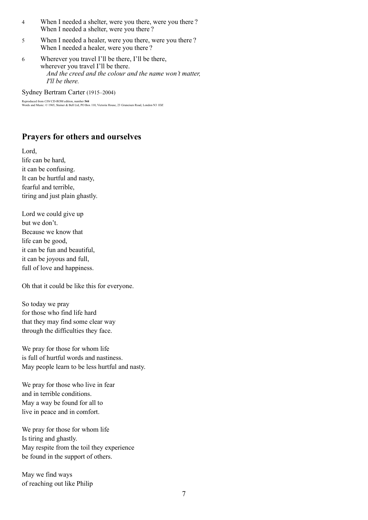- 4 When I needed a shelter, were you there, were you there ? When I needed a shelter, were you there ?
- 5 When I needed a healer, were you there, were you there ? When I needed a healer, were you there ?
- 6 Wherever you travel I'll be there, I'll be there, wherever you travel I'll be there. *And the creed and the colour and the name won't matter, I'll be there.*

Sydney Bertram Carter (1915–2004)

Reproduced from *CH4* CD-ROM edition, number **544** Words and Music: © 1965, Stainer & Bell Ltd, PO Box 110, Victoria House, 23 Gruneisen Road, London N3 1DZ

#### **Prayers for others and ourselves**

Lord, life can be hard, it can be confusing. It can be hurtful and nasty, fearful and terrible, tiring and just plain ghastly.

Lord we could give up but we don't. Because we know that life can be good, it can be fun and beautiful, it can be joyous and full, full of love and happiness.

Oh that it could be like this for everyone.

So today we pray for those who find life hard that they may find some clear way through the difficulties they face.

We pray for those for whom life is full of hurtful words and nastiness. May people learn to be less hurtful and nasty.

We pray for those who live in fear and in terrible conditions. May a way be found for all to live in peace and in comfort.

We pray for those for whom life Is tiring and ghastly. May respite from the toil they experience be found in the support of others.

May we find ways of reaching out like Philip